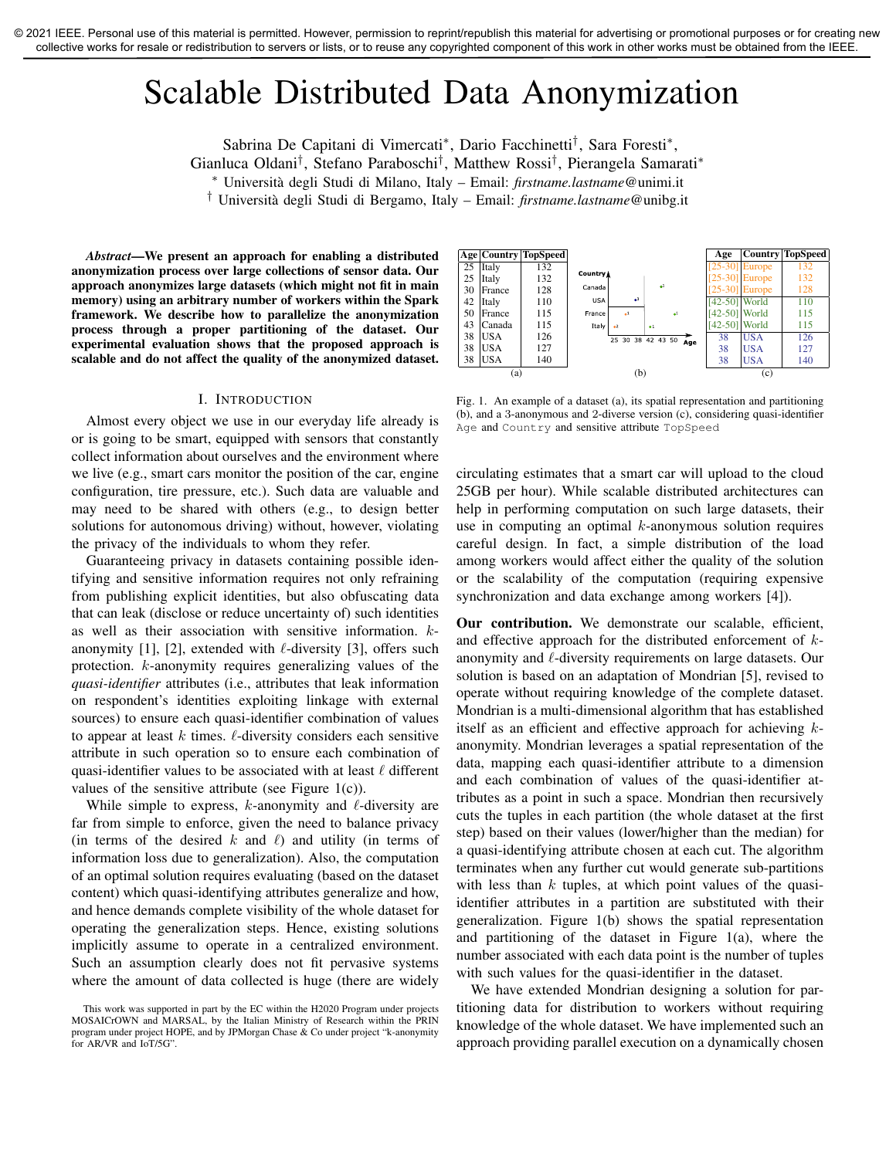# Scalable Distributed Data Anonymization

Sabrina De Capitani di Vimercati<sup>∗</sup> , Dario Facchinetti† , Sara Foresti<sup>∗</sup> ,

Gianluca Oldani† , Stefano Paraboschi† , Matthew Rossi† , Pierangela Samarati<sup>∗</sup>

<sup>∗</sup> Universita degli Studi di Milano, Italy – Email: ` *firstname.lastname*@unimi.it

† Universita degli Studi di Bergamo, Italy – Email: ` *firstname.lastname*@unibg.it

*Abstract*—We present an approach for enabling a distributed anonymization process over large collections of sensor data. Our approach anonymizes large datasets (which might not fit in main memory) using an arbitrary number of workers within the Spark framework. We describe how to parallelize the anonymization process through a proper partitioning of the dataset. Our experimental evaluation shows that the proposed approach is scalable and do not affect the quality of the anonymized dataset.

#### I. INTRODUCTION

Almost every object we use in our everyday life already is or is going to be smart, equipped with sensors that constantly collect information about ourselves and the environment where we live (e.g., smart cars monitor the position of the car, engine configuration, tire pressure, etc.). Such data are valuable and may need to be shared with others (e.g., to design better solutions for autonomous driving) without, however, violating the privacy of the individuals to whom they refer.

Guaranteeing privacy in datasets containing possible identifying and sensitive information requires not only refraining from publishing explicit identities, but also obfuscating data that can leak (disclose or reduce uncertainty of) such identities as well as their association with sensitive information. kanonymity [1], [2], extended with  $\ell$ -diversity [3], offers such protection. k-anonymity requires generalizing values of the *quasi-identifier* attributes (i.e., attributes that leak information on respondent's identities exploiting linkage with external sources) to ensure each quasi-identifier combination of values to appear at least k times.  $\ell$ -diversity considers each sensitive attribute in such operation so to ensure each combination of quasi-identifier values to be associated with at least  $\ell$  different values of the sensitive attribute (see Figure  $1(c)$ ).

While simple to express,  $k$ -anonymity and  $\ell$ -diversity are far from simple to enforce, given the need to balance privacy (in terms of the desired k and  $\ell$ ) and utility (in terms of information loss due to generalization). Also, the computation of an optimal solution requires evaluating (based on the dataset content) which quasi-identifying attributes generalize and how, and hence demands complete visibility of the whole dataset for operating the generalization steps. Hence, existing solutions implicitly assume to operate in a centralized environment. Such an assumption clearly does not fit pervasive systems where the amount of data collected is huge (there are widely



Fig. 1. An example of a dataset (a), its spatial representation and partitioning (b), and a 3-anonymous and 2-diverse version (c), considering quasi-identifier Age and Country and sensitive attribute TopSpeed

circulating estimates that a smart car will upload to the cloud 25GB per hour). While scalable distributed architectures can help in performing computation on such large datasets, their use in computing an optimal  $k$ -anonymous solution requires careful design. In fact, a simple distribution of the load among workers would affect either the quality of the solution or the scalability of the computation (requiring expensive synchronization and data exchange among workers [4]).

Our contribution. We demonstrate our scalable, efficient, and effective approach for the distributed enforcement of kanonymity and  $\ell$ -diversity requirements on large datasets. Our solution is based on an adaptation of Mondrian [5], revised to operate without requiring knowledge of the complete dataset. Mondrian is a multi-dimensional algorithm that has established itself as an efficient and effective approach for achieving  $k$ anonymity. Mondrian leverages a spatial representation of the data, mapping each quasi-identifier attribute to a dimension and each combination of values of the quasi-identifier attributes as a point in such a space. Mondrian then recursively cuts the tuples in each partition (the whole dataset at the first step) based on their values (lower/higher than the median) for a quasi-identifying attribute chosen at each cut. The algorithm terminates when any further cut would generate sub-partitions with less than  $k$  tuples, at which point values of the quasiidentifier attributes in a partition are substituted with their generalization. Figure 1(b) shows the spatial representation and partitioning of the dataset in Figure 1(a), where the number associated with each data point is the number of tuples with such values for the quasi-identifier in the dataset.

We have extended Mondrian designing a solution for partitioning data for distribution to workers without requiring knowledge of the whole dataset. We have implemented such an approach providing parallel execution on a dynamically chosen

This work was supported in part by the EC within the H2020 Program under projects MOSAICrOWN and MARSAL, by the Italian Ministry of Research within the PRIN program under project HOPE, and by JPMorgan Chase & Co under project "k-anonymity for AR/VR and IoT/5G".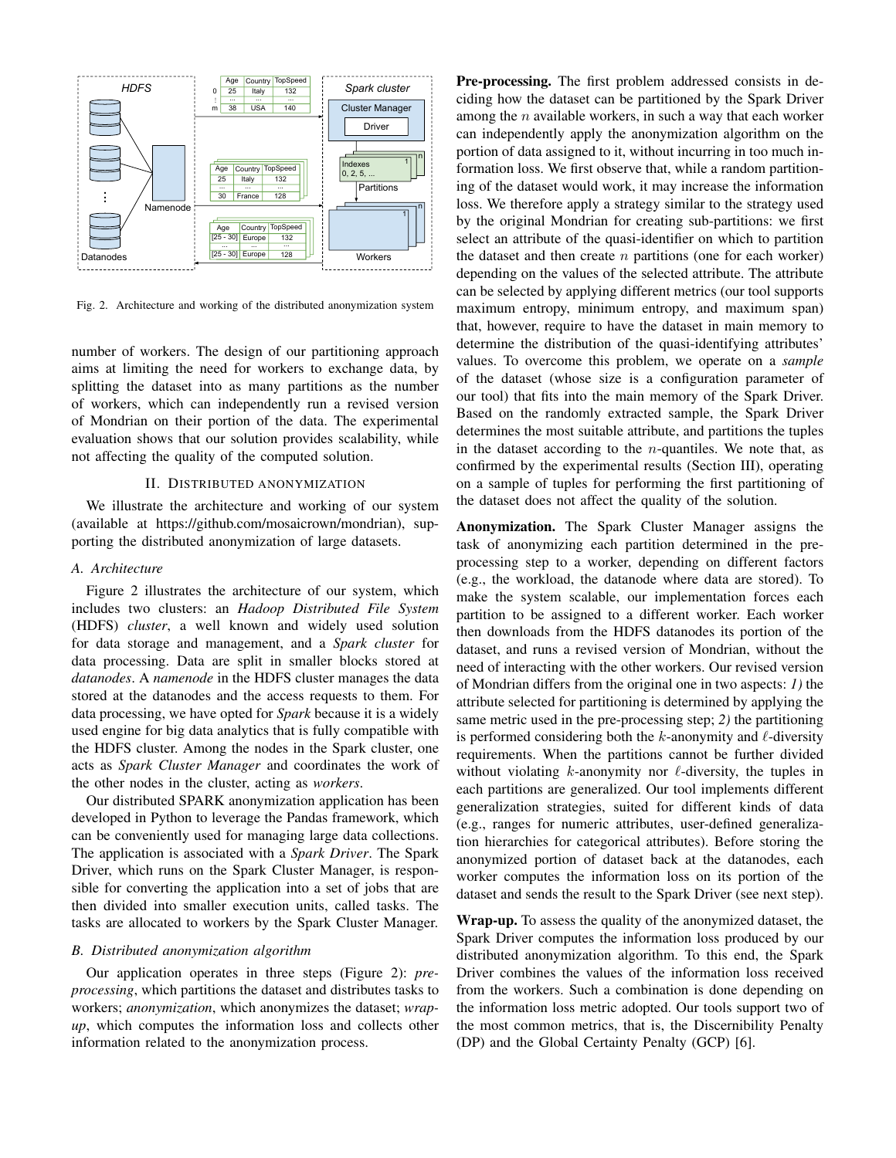

Fig. 2. Architecture and working of the distributed anonymization system

number of workers. The design of our partitioning approach aims at limiting the need for workers to exchange data, by splitting the dataset into as many partitions as the number of workers, which can independently run a revised version of Mondrian on their portion of the data. The experimental evaluation shows that our solution provides scalability, while not affecting the quality of the computed solution.

## II. DISTRIBUTED ANONYMIZATION

We illustrate the architecture and working of our system (available at https://github.com/mosaicrown/mondrian), supporting the distributed anonymization of large datasets.

## *A. Architecture*

Figure 2 illustrates the architecture of our system, which includes two clusters: an *Hadoop Distributed File System* (HDFS) *cluster*, a well known and widely used solution for data storage and management, and a *Spark cluster* for data processing. Data are split in smaller blocks stored at *datanodes*. A *namenode* in the HDFS cluster manages the data stored at the datanodes and the access requests to them. For data processing, we have opted for *Spark* because it is a widely used engine for big data analytics that is fully compatible with the HDFS cluster. Among the nodes in the Spark cluster, one acts as *Spark Cluster Manager* and coordinates the work of the other nodes in the cluster, acting as *workers*.

Our distributed SPARK anonymization application has been developed in Python to leverage the Pandas framework, which can be conveniently used for managing large data collections. The application is associated with a *Spark Driver*. The Spark Driver, which runs on the Spark Cluster Manager, is responsible for converting the application into a set of jobs that are then divided into smaller execution units, called tasks. The tasks are allocated to workers by the Spark Cluster Manager.

### *B. Distributed anonymization algorithm*

Our application operates in three steps (Figure 2): *preprocessing*, which partitions the dataset and distributes tasks to workers; *anonymization*, which anonymizes the dataset; *wrapup*, which computes the information loss and collects other information related to the anonymization process.

Pre-processing. The first problem addressed consists in deciding how the dataset can be partitioned by the Spark Driver among the  $n$  available workers, in such a way that each worker can independently apply the anonymization algorithm on the portion of data assigned to it, without incurring in too much information loss. We first observe that, while a random partitioning of the dataset would work, it may increase the information loss. We therefore apply a strategy similar to the strategy used by the original Mondrian for creating sub-partitions: we first select an attribute of the quasi-identifier on which to partition the dataset and then create  $n$  partitions (one for each worker) depending on the values of the selected attribute. The attribute can be selected by applying different metrics (our tool supports maximum entropy, minimum entropy, and maximum span) that, however, require to have the dataset in main memory to determine the distribution of the quasi-identifying attributes' values. To overcome this problem, we operate on a *sample* of the dataset (whose size is a configuration parameter of our tool) that fits into the main memory of the Spark Driver. Based on the randomly extracted sample, the Spark Driver determines the most suitable attribute, and partitions the tuples in the dataset according to the  $n$ -quantiles. We note that, as confirmed by the experimental results (Section III), operating on a sample of tuples for performing the first partitioning of the dataset does not affect the quality of the solution.

Anonymization. The Spark Cluster Manager assigns the task of anonymizing each partition determined in the preprocessing step to a worker, depending on different factors (e.g., the workload, the datanode where data are stored). To make the system scalable, our implementation forces each partition to be assigned to a different worker. Each worker then downloads from the HDFS datanodes its portion of the dataset, and runs a revised version of Mondrian, without the need of interacting with the other workers. Our revised version of Mondrian differs from the original one in two aspects: *1)* the attribute selected for partitioning is determined by applying the same metric used in the pre-processing step; *2)* the partitioning is performed considering both the k-anonymity and  $\ell$ -diversity requirements. When the partitions cannot be further divided without violating  $k$ -anonymity nor  $\ell$ -diversity, the tuples in each partitions are generalized. Our tool implements different generalization strategies, suited for different kinds of data (e.g., ranges for numeric attributes, user-defined generalization hierarchies for categorical attributes). Before storing the anonymized portion of dataset back at the datanodes, each worker computes the information loss on its portion of the dataset and sends the result to the Spark Driver (see next step).

Wrap-up. To assess the quality of the anonymized dataset, the Spark Driver computes the information loss produced by our distributed anonymization algorithm. To this end, the Spark Driver combines the values of the information loss received from the workers. Such a combination is done depending on the information loss metric adopted. Our tools support two of the most common metrics, that is, the Discernibility Penalty (DP) and the Global Certainty Penalty (GCP) [6].